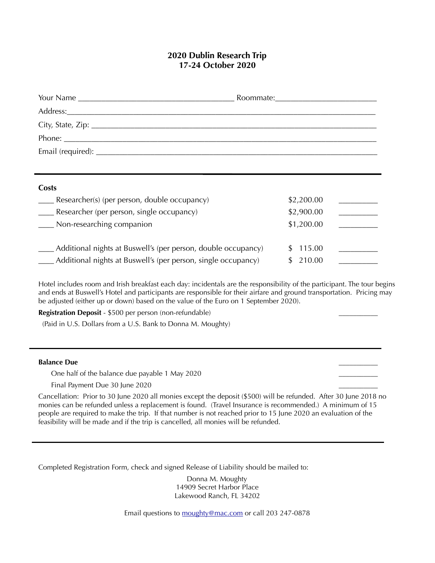# **2020 Dublin Research Trip 17-24 October 2020**

| Costs                                                             |            |  |
|-------------------------------------------------------------------|------------|--|
| ____ Researcher(s) (per person, double occupancy)                 | \$2,200.00 |  |
| ____ Researcher (per person, single occupancy)                    | \$2,900.00 |  |
| ___ Non-researching companion                                     | \$1,200.00 |  |
| Additional nights at Buswell's (per person, double occupancy)     | 115.00     |  |
| ___ Additional nights at Buswell's (per person, single occupancy) | 210.00     |  |

Hotel includes room and Irish breakfast each day: incidentals are the responsibility of the participant. The tour begins and ends at Buswell's Hotel and participants are responsible for their airfare and ground transportation. Pricing may be adjusted (either up or down) based on the value of the Euro on 1 September 2020).

**Registration Deposit** - \$500 per person (non-refundable) \_\_\_\_\_\_\_\_\_\_\_

(Paid in U.S. Dollars from a U.S. Bank to Donna M. Moughty)

#### **Balance Due** \_\_\_\_\_\_\_\_\_\_\_

One half of the balance due payable 1 May 2020

Final Payment Due 30 June 2020

Cancellation: Prior to 30 June 2020 all monies except the deposit (\$500) will be refunded. After 30 June 2018 no monies can be refunded unless a replacement is found. (Travel Insurance is recommended.) A minimum of 15 people are required to make the trip. If that number is not reached prior to 15 June 2020 an evaluation of the feasibility will be made and if the trip is cancelled, all monies will be refunded.

Completed Registration Form, check and signed Release of Liability should be mailed to:

Donna M. Moughty 14909 Secret Harbor Place Lakewood Ranch, FL 34202

Email questions to [moughty@mac.com](mailto:moughty@mac.com) or call 203 247-0878